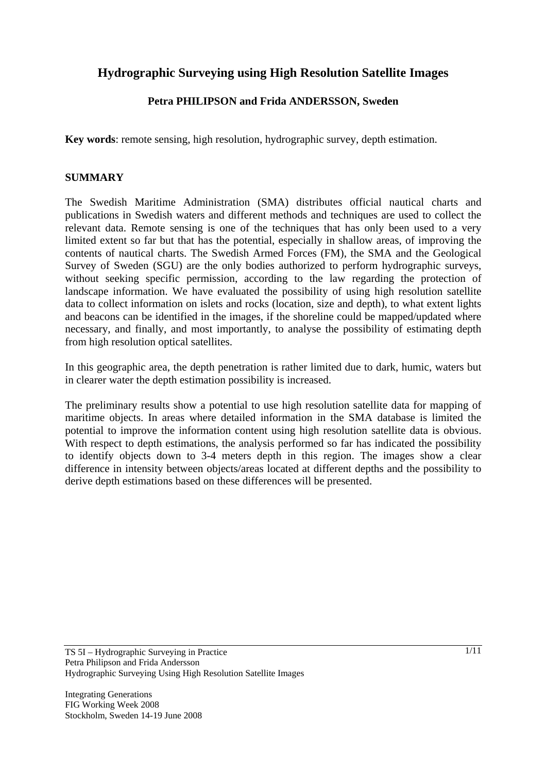# **Hydrographic Surveying using High Resolution Satellite Images**

# **Petra PHILIPSON and Frida ANDERSSON, Sweden**

**Key words**: remote sensing, high resolution, hydrographic survey, depth estimation.

## **SUMMARY**

The Swedish Maritime Administration (SMA) distributes official nautical charts and publications in Swedish waters and different methods and techniques are used to collect the relevant data. Remote sensing is one of the techniques that has only been used to a very limited extent so far but that has the potential, especially in shallow areas, of improving the contents of nautical charts. The Swedish Armed Forces (FM), the SMA and the Geological Survey of Sweden (SGU) are the only bodies authorized to perform hydrographic surveys, without seeking specific permission, according to the law regarding the protection of landscape information. We have evaluated the possibility of using high resolution satellite data to collect information on islets and rocks (location, size and depth), to what extent lights and beacons can be identified in the images, if the shoreline could be mapped/updated where necessary, and finally, and most importantly, to analyse the possibility of estimating depth from high resolution optical satellites.

In this geographic area, the depth penetration is rather limited due to dark, humic, waters but in clearer water the depth estimation possibility is increased.

The preliminary results show a potential to use high resolution satellite data for mapping of maritime objects. In areas where detailed information in the SMA database is limited the potential to improve the information content using high resolution satellite data is obvious. With respect to depth estimations, the analysis performed so far has indicated the possibility to identify objects down to 3-4 meters depth in this region. The images show a clear difference in intensity between objects/areas located at different depths and the possibility to derive depth estimations based on these differences will be presented.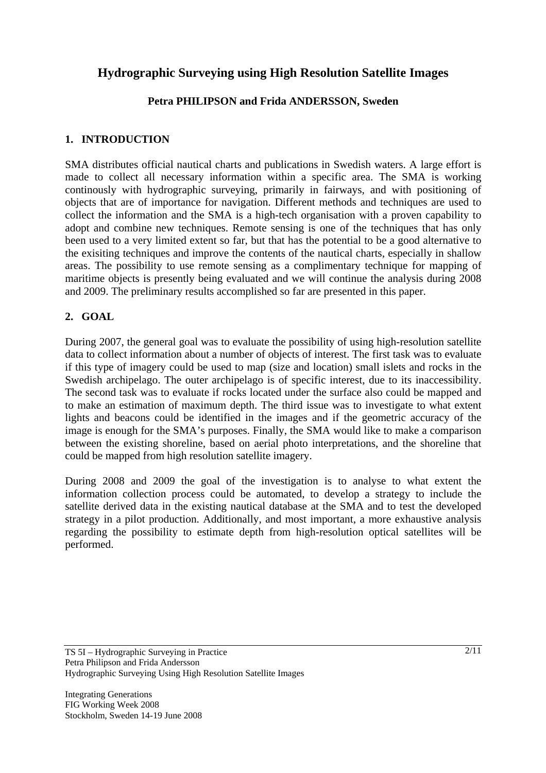# **Hydrographic Surveying using High Resolution Satellite Images**

# **Petra PHILIPSON and Frida ANDERSSON, Sweden**

## **1. INTRODUCTION**

SMA distributes official nautical charts and publications in Swedish waters. A large effort is made to collect all necessary information within a specific area. The SMA is working continously with hydrographic surveying, primarily in fairways, and with positioning of objects that are of importance for navigation. Different methods and techniques are used to collect the information and the SMA is a high-tech organisation with a proven capability to adopt and combine new techniques. Remote sensing is one of the techniques that has only been used to a very limited extent so far, but that has the potential to be a good alternative to the exisiting techniques and improve the contents of the nautical charts, especially in shallow areas. The possibility to use remote sensing as a complimentary technique for mapping of maritime objects is presently being evaluated and we will continue the analysis during 2008 and 2009. The preliminary results accomplished so far are presented in this paper.

# **2. GOAL**

During 2007, the general goal was to evaluate the possibility of using high-resolution satellite data to collect information about a number of objects of interest. The first task was to evaluate if this type of imagery could be used to map (size and location) small islets and rocks in the Swedish archipelago. The outer archipelago is of specific interest, due to its inaccessibility. The second task was to evaluate if rocks located under the surface also could be mapped and to make an estimation of maximum depth. The third issue was to investigate to what extent lights and beacons could be identified in the images and if the geometric accuracy of the image is enough for the SMA's purposes. Finally, the SMA would like to make a comparison between the existing shoreline, based on aerial photo interpretations, and the shoreline that could be mapped from high resolution satellite imagery.

During 2008 and 2009 the goal of the investigation is to analyse to what extent the information collection process could be automated, to develop a strategy to include the satellite derived data in the existing nautical database at the SMA and to test the developed strategy in a pilot production. Additionally, and most important, a more exhaustive analysis regarding the possibility to estimate depth from high-resolution optical satellites will be performed.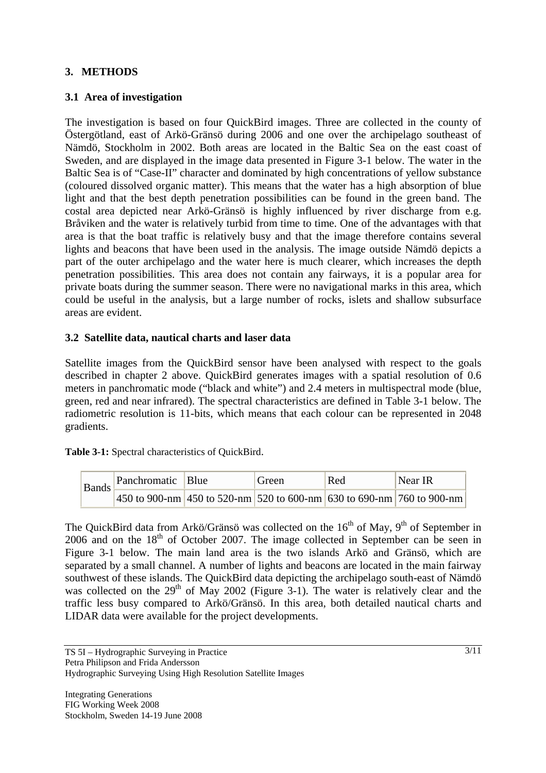# **3. METHODS**

## **3.1 Area of investigation**

The investigation is based on four QuickBird images. Three are collected in the county of Östergötland, east of Arkö-Gränsö during 2006 and one over the archipelago southeast of Nämdö, Stockholm in 2002. Both areas are located in the Baltic Sea on the east coast of Sweden, and are displayed in the image data presented in Figure 3-1 below. The water in the Baltic Sea is of "Case-II" character and dominated by high concentrations of yellow substance (coloured dissolved organic matter). This means that the water has a high absorption of blue light and that the best depth penetration possibilities can be found in the green band. The costal area depicted near Arkö-Gränsö is highly influenced by river discharge from e.g. Bråviken and the water is relatively turbid from time to time. One of the advantages with that area is that the boat traffic is relatively busy and that the image therefore contains several lights and beacons that have been used in the analysis. The image outside Nämdö depicts a part of the outer archipelago and the water here is much clearer, which increases the depth penetration possibilities. This area does not contain any fairways, it is a popular area for private boats during the summer season. There were no navigational marks in this area, which could be useful in the analysis, but a large number of rocks, islets and shallow subsurface areas are evident.

#### **3.2 Satellite data, nautical charts and laser data**

Satellite images from the QuickBird sensor have been analysed with respect to the goals described in chapter 2 above. QuickBird generates images with a spatial resolution of 0.6 meters in panchromatic mode ("black and white") and 2.4 meters in multispectral mode (blue, green, red and near infrared). The spectral characteristics are defined in Table 3-1 below. The radiometric resolution is 11-bits, which means that each colour can be represented in 2048 gradients.

**Table 3-1:** Spectral characteristics of QuickBird.

| <b>Bands</b> | Panchromatic Blue |                                                                                            | Green | Red | Near IR |
|--------------|-------------------|--------------------------------------------------------------------------------------------|-------|-----|---------|
|              |                   | $ 450 \text{ to } 900 \text{-nm} $ 450 to 520-nm 520 to 600-nm 630 to 690-nm 760 to 900-nm |       |     |         |

The QuickBird data from Arkö/Gränsö was collected on the  $16<sup>th</sup>$  of May,  $9<sup>th</sup>$  of September in  $2006$  and on the  $18<sup>th</sup>$  of October 2007. The image collected in September can be seen in Figure 3-1 below. The main land area is the two islands Arkö and Gränsö, which are separated by a small channel. A number of lights and beacons are located in the main fairway southwest of these islands. The QuickBird data depicting the archipelago south-east of Nämdö was collected on the  $29<sup>th</sup>$  of May 2002 (Figure 3-1). The water is relatively clear and the traffic less busy compared to Arkö/Gränsö. In this area, both detailed nautical charts and LIDAR data were available for the project developments.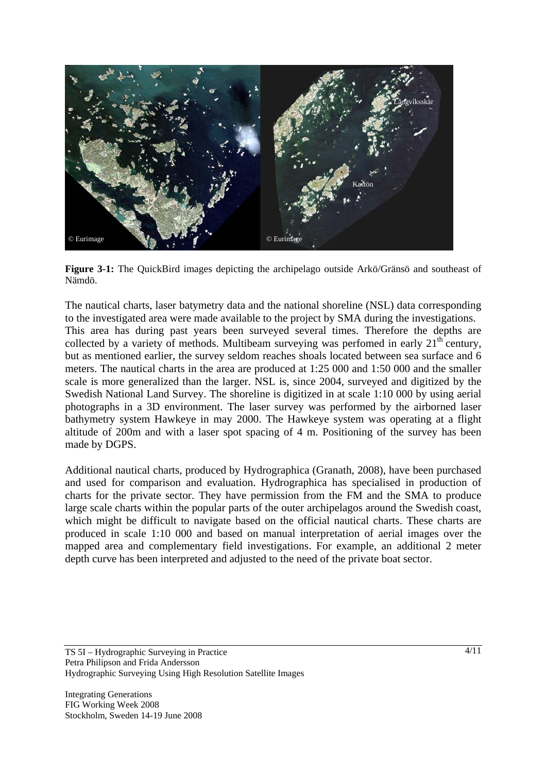

**Figure 3-1:** The QuickBird images depicting the archipelago outside Arkö/Gränsö and southeast of Nämdö.

The nautical charts, laser batymetry data and the national shoreline (NSL) data corresponding to the investigated area were made available to the project by SMA during the investigations. This area has during past years been surveyed several times. Therefore the depths are collected by a variety of methods. Multibeam surveying was perfomed in early  $21<sup>th</sup>$  century, but as mentioned earlier, the survey seldom reaches shoals located between sea surface and 6 meters. The nautical charts in the area are produced at 1:25 000 and 1:50 000 and the smaller scale is more generalized than the larger. NSL is, since 2004, surveyed and digitized by the Swedish National Land Survey. The shoreline is digitized in at scale 1:10 000 by using aerial photographs in a 3D environment. The laser survey was performed by the airborned laser bathymetry system Hawkeye in may 2000. The Hawkeye system was operating at a flight altitude of 200m and with a laser spot spacing of 4 m. Positioning of the survey has been made by DGPS.

Additional nautical charts, produced by Hydrographica (Granath, 2008), have been purchased and used for comparison and evaluation. Hydrographica has specialised in production of charts for the private sector. They have permission from the FM and the SMA to produce large scale charts within the popular parts of the outer archipelagos around the Swedish coast, which might be difficult to navigate based on the official nautical charts. These charts are produced in scale 1:10 000 and based on manual interpretation of aerial images over the mapped area and complementary field investigations. For example, an additional 2 meter depth curve has been interpreted and adjusted to the need of the private boat sector.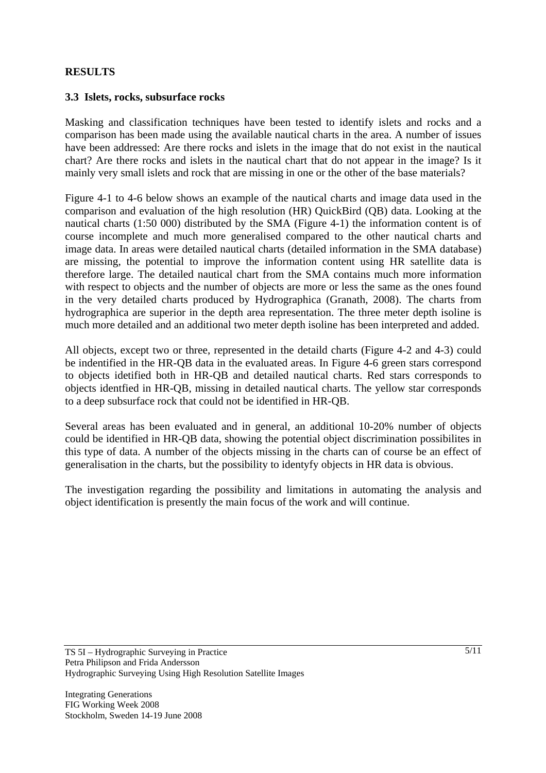## **RESULTS**

#### **3.3 Islets, rocks, subsurface rocks**

Masking and classification techniques have been tested to identify islets and rocks and a comparison has been made using the available nautical charts in the area. A number of issues have been addressed: Are there rocks and islets in the image that do not exist in the nautical chart? Are there rocks and islets in the nautical chart that do not appear in the image? Is it mainly very small islets and rock that are missing in one or the other of the base materials?

Figure 4-1 to 4-6 below shows an example of the nautical charts and image data used in the comparison and evaluation of the high resolution (HR) QuickBird (QB) data. Looking at the nautical charts (1:50 000) distributed by the SMA (Figure 4-1) the information content is of course incomplete and much more generalised compared to the other nautical charts and image data. In areas were detailed nautical charts (detailed information in the SMA database) are missing, the potential to improve the information content using HR satellite data is therefore large. The detailed nautical chart from the SMA contains much more information with respect to objects and the number of objects are more or less the same as the ones found in the very detailed charts produced by Hydrographica (Granath, 2008). The charts from hydrographica are superior in the depth area representation. The three meter depth isoline is much more detailed and an additional two meter depth isoline has been interpreted and added.

All objects, except two or three, represented in the detaild charts (Figure 4-2 and 4-3) could be indentified in the HR-QB data in the evaluated areas. In Figure 4-6 green stars correspond to objects idetified both in HR-QB and detailed nautical charts. Red stars corresponds to objects identfied in HR-QB, missing in detailed nautical charts. The yellow star corresponds to a deep subsurface rock that could not be identified in HR-QB.

Several areas has been evaluated and in general, an additional 10-20% number of objects could be identified in HR-QB data, showing the potential object discrimination possibilites in this type of data. A number of the objects missing in the charts can of course be an effect of generalisation in the charts, but the possibility to identyfy objects in HR data is obvious.

The investigation regarding the possibility and limitations in automating the analysis and object identification is presently the main focus of the work and will continue.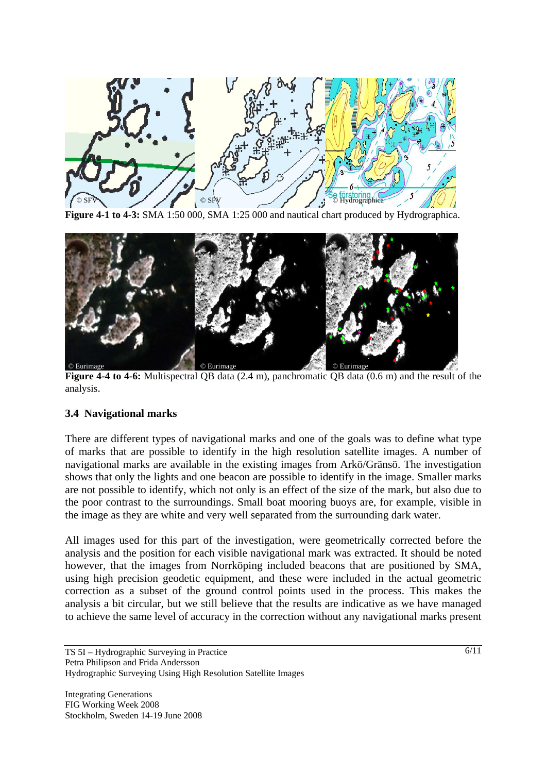

**Figure 4-1 to 4-3:** SMA 1:50 000, SMA 1:25 000 and nautical chart produced by Hydrographica.



**Figure 4-4 to 4-6:** Multispectral QB data (2.4 m), panchromatic QB data (0.6 m) and the result of the analysis.

## **3.4 Navigational marks**

There are different types of navigational marks and one of the goals was to define what type of marks that are possible to identify in the high resolution satellite images. A number of navigational marks are available in the existing images from Arkö/Gränsö. The investigation shows that only the lights and one beacon are possible to identify in the image. Smaller marks are not possible to identify, which not only is an effect of the size of the mark, but also due to the poor contrast to the surroundings. Small boat mooring buoys are, for example, visible in the image as they are white and very well separated from the surrounding dark water.

All images used for this part of the investigation, were geometrically corrected before the analysis and the position for each visible navigational mark was extracted. It should be noted however, that the images from Norrköping included beacons that are positioned by SMA, using high precision geodetic equipment, and these were included in the actual geometric correction as a subset of the ground control points used in the process. This makes the analysis a bit circular, but we still believe that the results are indicative as we have managed to achieve the same level of accuracy in the correction without any navigational marks present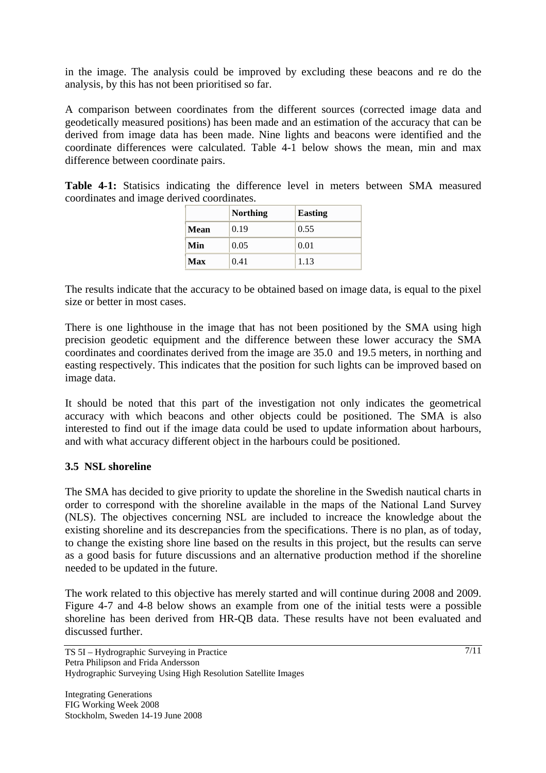in the image. The analysis could be improved by excluding these beacons and re do the analysis, by this has not been prioritised so far.

A comparison between coordinates from the different sources (corrected image data and geodetically measured positions) has been made and an estimation of the accuracy that can be derived from image data has been made. Nine lights and beacons were identified and the coordinate differences were calculated. Table 4-1 below shows the mean, min and max difference between coordinate pairs.

**Table 4-1:** Statisics indicating the difference level in meters between SMA measured coordinates and image derived coordinates.

|      | <b>Northing</b> | <b>Easting</b> |  |
|------|-----------------|----------------|--|
| Mean | 0.19            | 0.55           |  |
| Min  | 0.05            | 0.01           |  |
| Max  | 0.41            | 1.13           |  |

The results indicate that the accuracy to be obtained based on image data, is equal to the pixel size or better in most cases.

There is one lighthouse in the image that has not been positioned by the SMA using high precision geodetic equipment and the difference between these lower accuracy the SMA coordinates and coordinates derived from the image are 35.0 and 19.5 meters, in northing and easting respectively. This indicates that the position for such lights can be improved based on image data.

It should be noted that this part of the investigation not only indicates the geometrical accuracy with which beacons and other objects could be positioned. The SMA is also interested to find out if the image data could be used to update information about harbours, and with what accuracy different object in the harbours could be positioned.

## **3.5 NSL shoreline**

The SMA has decided to give priority to update the shoreline in the Swedish nautical charts in order to correspond with the shoreline available in the maps of the National Land Survey (NLS). The objectives concerning NSL are included to increace the knowledge about the existing shoreline and its descrepancies from the specifications. There is no plan, as of today, to change the existing shore line based on the results in this project, but the results can serve as a good basis for future discussions and an alternative production method if the shoreline needed to be updated in the future.

The work related to this objective has merely started and will continue during 2008 and 2009. Figure 4-7 and 4-8 below shows an example from one of the initial tests were a possible shoreline has been derived from HR-QB data. These results have not been evaluated and discussed further.

TS 5I – Hydrographic Surveying in Practice Petra Philipson and Frida Andersson Hydrographic Surveying Using High Resolution Satellite Images

Integrating Generations FIG Working Week 2008 Stockholm, Sweden 14-19 June 2008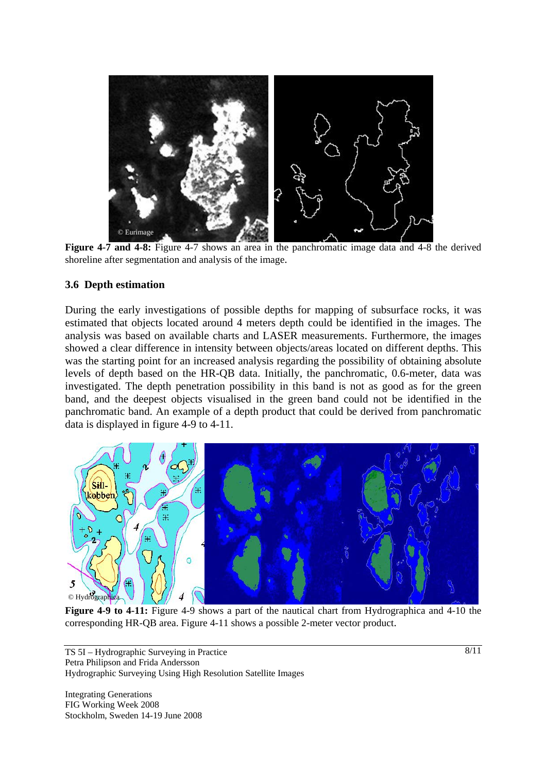

**Figure 4-7 and 4-8:** Figure 4-7 shows an area in the panchromatic image data and 4-8 the derived shoreline after segmentation and analysis of the image.

#### **3.6 Depth estimation**

During the early investigations of possible depths for mapping of subsurface rocks, it was estimated that objects located around 4 meters depth could be identified in the images. The analysis was based on available charts and LASER measurements. Furthermore, the images showed a clear difference in intensity between objects/areas located on different depths. This was the starting point for an increased analysis regarding the possibility of obtaining absolute levels of depth based on the HR-QB data. Initially, the panchromatic, 0.6-meter, data was investigated. The depth penetration possibility in this band is not as good as for the green band, and the deepest objects visualised in the green band could not be identified in the panchromatic band. An example of a depth product that could be derived from panchromatic data is displayed in figure 4-9 to 4-11.



**Figure 4-9 to 4-11:** Figure 4-9 shows a part of the nautical chart from Hydrographica and 4-10 the corresponding HR-QB area. Figure 4-11 shows a possible 2-meter vector product.

TS 5I – Hydrographic Surveying in Practice Petra Philipson and Frida Andersson Hydrographic Surveying Using High Resolution Satellite Images

Integrating Generations FIG Working Week 2008 Stockholm, Sweden 14-19 June 2008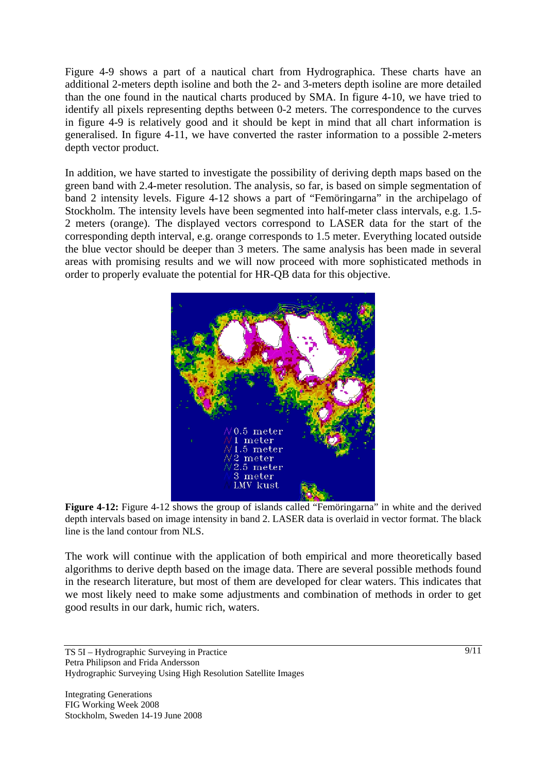Figure 4-9 shows a part of a nautical chart from Hydrographica. These charts have an additional 2-meters depth isoline and both the 2- and 3-meters depth isoline are more detailed than the one found in the nautical charts produced by SMA. In figure 4-10, we have tried to identify all pixels representing depths between 0-2 meters. The correspondence to the curves in figure 4-9 is relatively good and it should be kept in mind that all chart information is generalised. In figure 4-11, we have converted the raster information to a possible 2-meters depth vector product.

In addition, we have started to investigate the possibility of deriving depth maps based on the green band with 2.4-meter resolution. The analysis, so far, is based on simple segmentation of band 2 intensity levels. Figure 4-12 shows a part of "Femöringarna" in the archipelago of Stockholm. The intensity levels have been segmented into half-meter class intervals, e.g. 1.5- 2 meters (orange). The displayed vectors correspond to LASER data for the start of the corresponding depth interval, e.g. orange corresponds to 1.5 meter. Everything located outside the blue vector should be deeper than 3 meters. The same analysis has been made in several areas with promising results and we will now proceed with more sophisticated methods in order to properly evaluate the potential for HR-QB data for this objective.



**Figure 4-12:** Figure 4-12 shows the group of islands called "Femöringarna" in white and the derived depth intervals based on image intensity in band 2. LASER data is overlaid in vector format. The black line is the land contour from NLS.

The work will continue with the application of both empirical and more theoretically based algorithms to derive depth based on the image data. There are several possible methods found in the research literature, but most of them are developed for clear waters. This indicates that we most likely need to make some adjustments and combination of methods in order to get good results in our dark, humic rich, waters.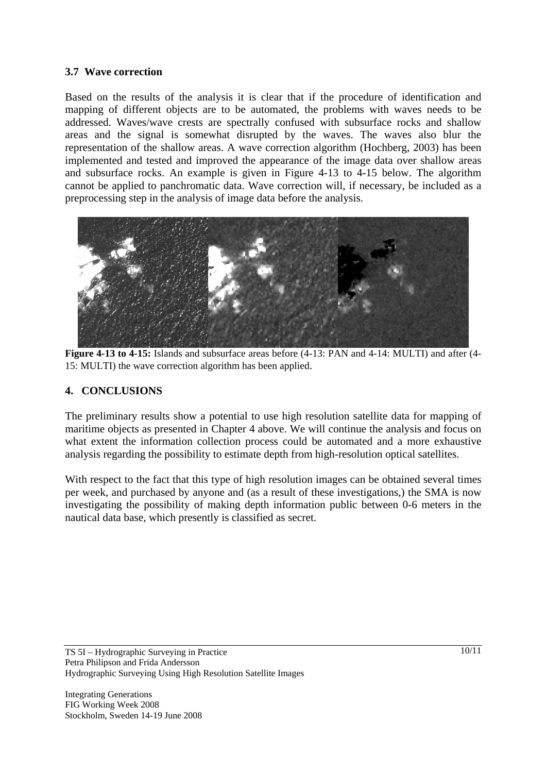### **3.7 Wave correction**

Based on the results of the analysis it is clear that if the procedure of identification and mapping of different objects are to be automated, the problems with waves needs to be addressed. Waves/wave crests are spectrally confused with subsurface rocks and shallow areas and the signal is somewhat disrupted by the waves. The waves also blur the representation of the shallow areas. A wave correction algorithm (Hochberg, 2003) has been implemented and tested and improved the appearance of the image data over shallow areas and subsurface rocks. An example is given in Figure 4-13 to 4-15 below. The algorithm cannot be applied to panchromatic data. Wave correction will, if necessary, be included as a preprocessing step in the analysis of image data before the analysis.



**Figure 4-13 to 4-15:** Islands and subsurface areas before (4-13: PAN and 4-14: MULTI) and after (4- 15: MULTI) the wave correction algorithm has been applied.

#### **4. CONCLUSIONS**

The preliminary results show a potential to use high resolution satellite data for mapping of maritime objects as presented in Chapter 4 above. We will continue the analysis and focus on what extent the information collection process could be automated and a more exhaustive analysis regarding the possibility to estimate depth from high-resolution optical satellites.

With respect to the fact that this type of high resolution images can be obtained several times per week, and purchased by anyone and (as a result of these investigations,) the SMA is now investigating the possibility of making depth information public between 0-6 meters in the nautical data base, which presently is classified as secret.